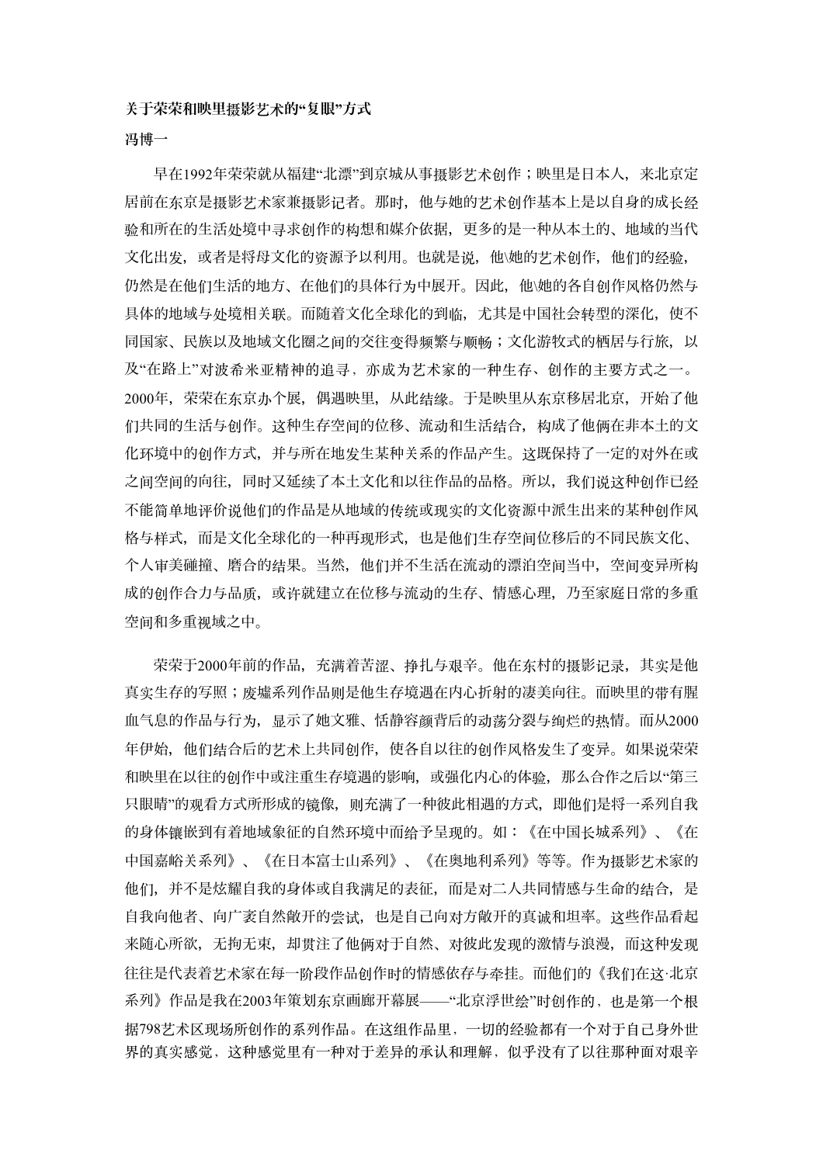## 䎔于䕯䕯和映里**摄**影**艺术**的**"**䐾眼**"**方式

## **冯博⼀**

早在1992年荣荣就从福建"北漂"到京城从事摄影艺术创作;映里是日本人,来北京定 居前在东京是摄影艺术家兼摄影记者。那时,他与䭪的艺术创作基本上是以自身的成长经 验和所在的生活处境中寻求创作的构想和媒介依据,更多的是一䝅从本土的、地域的当代 文化出发,或者是将母文化的资源予以利用。也就是说,他\她的艺术创作,他们的经验, 仍然是在他们生活的地方、在他们的具体行为中展开。因此,他\她的各自创作风格仍然与 具体的地域与处境相关联。而随着文化全球化的到临,尤其是中国社会转型的深化,使不 同国家、民族以及地域文化圈之间的交往变得频繁与顺畅;文化游牧式的栖居与行旅,以 及"在路上"对波希米亚精神的追寻,亦成为艺术家的一种生存、创作的主要方式之一。 2000年, 荣荣在东京办个展, 偶遇映里, 从此结缘。于是映里从东京移居北京, 开始了他 们共同的生活与创作。这䝅生存空间的位移、流动和生活结合,构成了他俩在非本土的文 化环境中的创作方式,并与所在地发生某种关系的作品产生。这既保持了一定的对外在或 之间空间的向往,同时又延续了本土文化和以往作品的品格。所以,我们说这种创作已经 不能简单地评价说他们的作品是从地域的传统或现实的文化资源中派生出来的某䝅创作风 格与样式,而是文化全球化的一种再现形式,也是他们生存空间位移后的不同民族文化、 个人审美碰撞、磨合的结果。当然,他们并不生活在流动的漂泊空间当中,空间变异所构 成的创作合力与品质,或许就建立在位移与流动的生存、情感心理,乃至家庭日常的多重 空间和多重视域之中。

荣荣于2000年前的作品,充满着苦涩、挣扎与艰辛。他在东村的摄影记录,其实是他 真实生存的写照;废墟系列作品则是他生存境遇在内心折射的凄美向往。而映里的带有腥 血气息的作品与行为,显示了䭪文雅、恬静容颜背后的动荡分裂与绚烂的热情。而从2000 年伊始,他们结合后的艺术上共同创作,使各自以往的创作风格发生了变异。如果说荣荣 和映里在以往的创作中或注重生存境遇的影响, 或强化内心的体验, 那么合作之后以"第三 只眼晴"的观看方式所形成的镜像,则充满了一种彼此相遇的方式,即他们是将一系列自我 的身体镶嵌到有着地域象征的自然环境中而给予呈现的。如:《在中国长城系列》、《在 中国嘉峪关系列》、《在日本富士山系列》、《在奥地利系列》等等。作为摄影艺术家的 他们,并不是炫耀自我的身体或自我满足的表征,而是对二人共同情感与生命的结合,是 自我向他者、向广袤自然敞开的尝试,也是自己向对方敞开的真诚和坦率。这些作品看起 来随心所欲,无拘无束,却贯注了他俩对于自然、对彼此发现的激情与浪漫,而这种发现 往往是代表着艺术家在每一阶段作品创作时的情感依存与牵挂。而他们的《我们在这·北京 系列》作品是我在2003年策划东京画廊开幕展——"北京浮世绘"时创作的,也是第一个根 据798艺术区现场所创作的系列作品。在这组作品里,一切的经验都有一个对于自己身外世 界的真实感觉,这种感觉且有一种对于差异的承认和理解,似乎没有了以往那种面对艰辛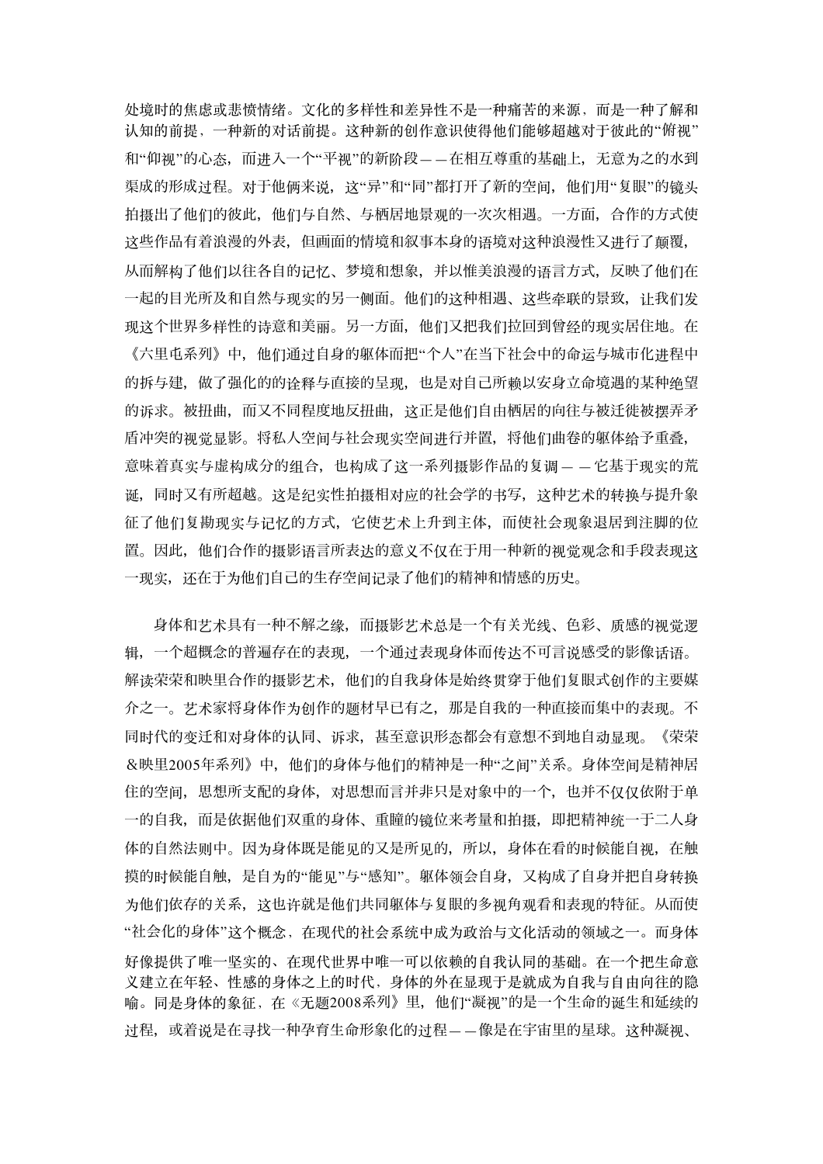处境时的焦虑或悲愤情绪。文化的多样性和差异性不是一种痛苦的来源,而是一种了解和 认知的前提,一种新的对话前提。这种新的创作意识使得他们能够超越对于彼此的"俯视" 和"仰视"的心态,而进入一个"平视"的新阶段——在相互尊重的基础上,无意为之的水到 渠成的形成过程。对于他俩来说,这"异"和"同"都打开了新的空间,他们用"复眼"的镜头 拍摄出了他们的彼此,他们与自然、与栖居地景观的一次次相遇。一方面,合作的方式使 这些作品有着浪漫的外表,但画面的情境和叙事本身的语境对这种浪漫性又进行了颠覆, 从而解构了他们以往各自的记忆、梦境和想象,并以惟美浪漫的语言方式,反映了他们在 一起的目光所及和自然与现实的另一侧面。他们的这䝅相遇、这些牵联的景致,让我们发 现这个世界多样性的诗意和美丽。另一方面,他们又把我们拉回到曾经的现实居住地。在 《六里屯系列》中,他们通过自身的躯体而把"个人"在当下社会中的命运与城市化进程中 的拆与建,做了强化的的诠释与直接的呈现,也是对自己所赖以安身立命境遇的某种绝望 的诉求。被扭曲,而可又不同程度地反扭曲,这正是他们自由栖居的向往与被迁徙被摆弄矛 盾冲突的视觉显影。将私人空间与社会现实空间进行并置,将他们曲卷的躯体给予重叠, 意味着真实与虚构成分的组合,也构成了这一系列摄影作品的复调——它基于现实的荒 诞,同时又有所超越。这是纪实性拍摄相对应的社会学的书写,这种艺术的转换与提升象 征了他们䐾勘现实与记忆的方式,它使艺术上升到主体,而使社会现象退居到注脚的位 置。因此,他们合作的摄影语言所表达的意义不仅在于用一种新的视觉观念和手段表现这 一现实,还在于为他们自己的生存空间记录了他们的精神和情感的历史。

身体和艺术具有一种不解之缘,而摄影艺术总是一个有关光线、色彩、质感的视觉逻 辑,一个超概念的普遍存在的表现,一个通过表现身体而传达不可言说感受的影像话语。 解读荣荣和映里合作的摄影艺术,他们的自我身体是始终贯穿于他们复眼式创作的主要媒 介之一。艺术家将身体作为创作的题材早已有之,那是自我的一䝅直接而集中的表现。不 同时代的变迁和对身体的认同、诉求,甚至意识形态都会有意想不到地自动显现。《荣荣 &映里2005年系列》中,他们的身体与他们的精神是一䝅"之间"䎔系。身体空间是精神居 住的空间,思想所支配的身体,对思想而言并非只是对象中的一个,也并不仅仅依附于单 一的自我,而是依据他们双重的身体、重瞳的镜位来考量和拍摄,即把精神统一于二人身 体的自然法则中。因为身体既是能见的又是所见的,所以,身体在看的时候能自视,在触 摸的时候能自触,是自为的"能见"与"感知"。躯体领会自身,又构成了自身并把自身转换 为他们依存的关系,这也许就是他们共同躯体与复眼的多视角观看和表现的特征。从而使 "社会化的身体"这个概念,在现代的社会系统中成为政治与文化活动的领域之一。而身体 好像提供了唯一坚实的、在现代世界中唯一可以依赖的自我认同的基础。在一个把生命意 义建立在年轻、性感的身体之上的时代,身体的外在显现于是就成为自我与自由向往的隐 喻。同是身体的象征,在《无题2008系列》里,他们"凝视"的是一个生命的诞生和延续的 过程,或着说是在寻找一种孕育生命形象化的过程——像是在宇宙里的星球。这种凝视、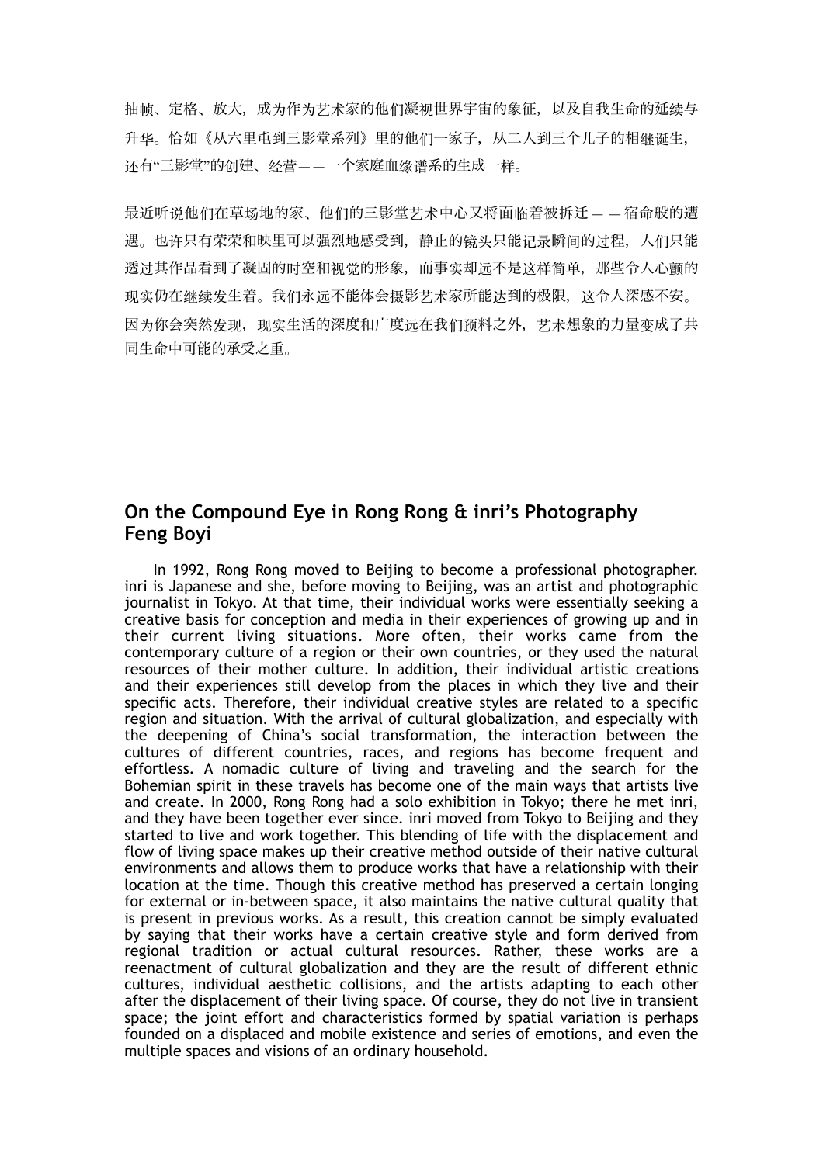抽帧、定格、放大,成为作为艺术家的他们凝视世界宇宙的象征,以及自我生命的延续与 升华。恰如《从六里屯到三影堂系列》里的他们一家子,从二人到三个儿子的相继诞生, 还有"三影堂"的创建、经营——一个家庭血缘谱系的生成一样。

最近听说他们在草场地的家、他们的三影堂艺术中心又将面临着被拆䥆— —宿命般的遭 遇。也许只有荣荣和映里可以强烈地感受到,静止的镜头只能记录瞬间的过程,人们只能 透过其作品看到了凝固的时空和视觉的形象,而事实却远不是这样简单,那些令人心颤的 现实仍在继续发生着。我们永远不能体会摄影艺术家所能达到的极限,这令人深感不安。 因为你会突然发现,现实生活的深度和广度远在我们预料之外,艺术想象的力量变成了共 同生命中可能的承受之重。

## **On the Compound Eye in Rong Rong & inri's Photography Feng Boyi**

In 1992, Rong Rong moved to Beijing to become a professional photographer. inri is Japanese and she, before moving to Beijing, was an artist and photographic journalist in Tokyo. At that time, their individual works were essentially seeking a creative basis for conception and media in their experiences of growing up and in their current living situations. More often, their works came from the contemporary culture of a region or their own countries, or they used the natural resources of their mother culture. In addition, their individual artistic creations and their experiences still develop from the places in which they live and their specific acts. Therefore, their individual creative styles are related to a specific region and situation. With the arrival of cultural globalization, and especially with the deepening of China's social transformation, the interaction between the cultures of different countries, races, and regions has become frequent and effortless. A nomadic culture of living and traveling and the search for the Bohemian spirit in these travels has become one of the main ways that artists live and create. In 2000, Rong Rong had a solo exhibition in Tokyo; there he met inri, and they have been together ever since. inri moved from Tokyo to Beijing and they started to live and work together. This blending of life with the displacement and flow of living space makes up their creative method outside of their native cultural environments and allows them to produce works that have a relationship with their location at the time. Though this creative method has preserved a certain longing for external or in-between space, it also maintains the native cultural quality that is present in previous works. As a result, this creation cannot be simply evaluated by saying that their works have a certain creative style and form derived from regional tradition or actual cultural resources. Rather, these works are a reenactment of cultural globalization and they are the result of different ethnic cultures, individual aesthetic collisions, and the artists adapting to each other after the displacement of their living space. Of course, they do not live in transient space; the joint effort and characteristics formed by spatial variation is perhaps founded on a displaced and mobile existence and series of emotions, and even the multiple spaces and visions of an ordinary household.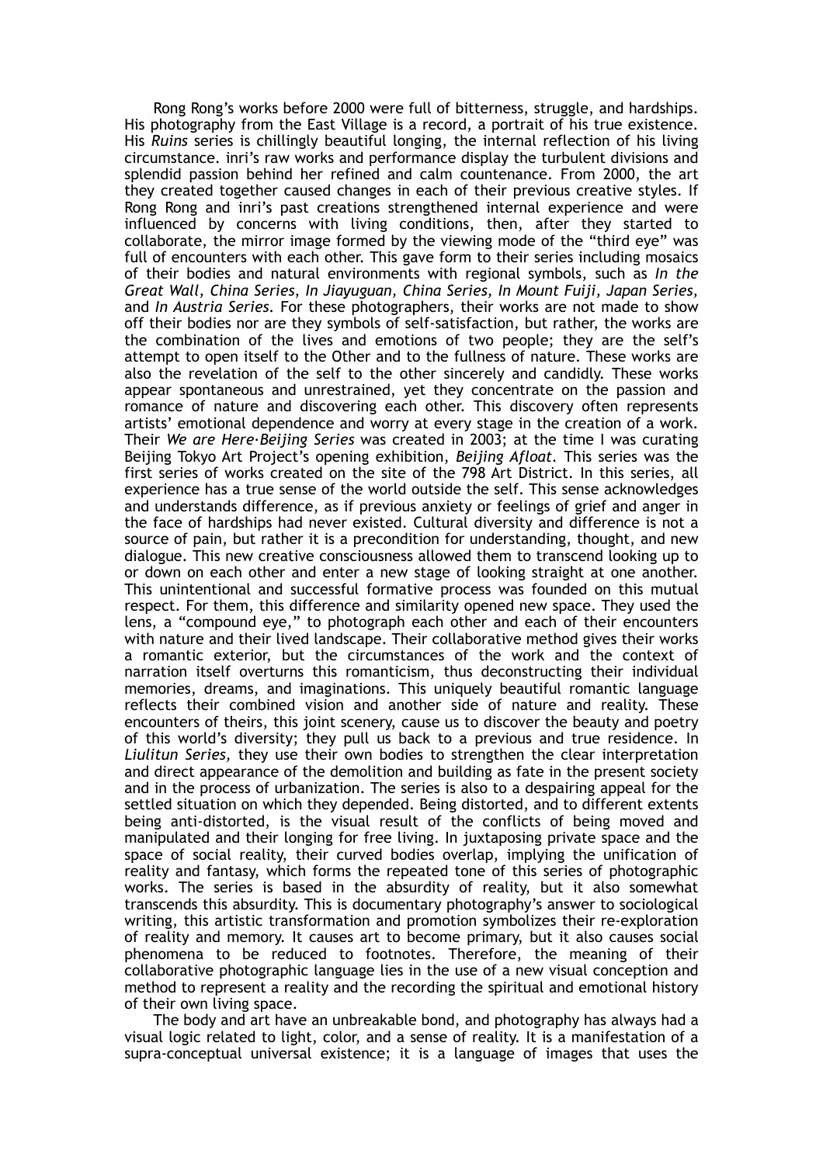Rong Rong's works before 2000 were full of bitterness, struggle, and hardships. His photography from the East Village is a record, a portrait of his true existence. His *Ruins* series is chillingly beautiful longing, the internal reflection of his living circumstance. inri's raw works and performance display the turbulent divisions and splendid passion behind her refined and calm countenance. From 2000, the art they created together caused changes in each of their previous creative styles. If Rong Rong and inri's past creations strengthened internal experience and were influenced by concerns with living conditions, then, after they started to collaborate, the mirror image formed by the viewing mode of the "third eye" was full of encounters with each other. This gave form to their series including mosaics of their bodies and natural environments with regional symbols, such as *In the Great Wall, China Series*, *In Jiayuguan, China Series, In Mount Fuiji, Japan Series,*  and *In Austria Series.* For these photographers, their works are not made to show off their bodies nor are they symbols of self-satisfaction, but rather, the works are the combination of the lives and emotions of two people; they are the self's attempt to open itself to the Other and to the fullness of nature. These works are also the revelation of the self to the other sincerely and candidly. These works appear spontaneous and unrestrained, yet they concentrate on the passion and romance of nature and discovering each other. This discovery often represents artists' emotional dependence and worry at every stage in the creation of a work. Their *We are Here·Beijing Series* was created in 2003; at the time I was curating Beijing Tokyo Art Project's opening exhibition, *Beijing Afloat.* This series was the first series of works created on the site of the 798 Art District. In this series, all experience has a true sense of the world outside the self. This sense acknowledges and understands difference, as if previous anxiety or feelings of grief and anger in the face of hardships had never existed. Cultural diversity and difference is not a source of pain, but rather it is a precondition for understanding, thought, and new dialogue. This new creative consciousness allowed them to transcend looking up to or down on each other and enter a new stage of looking straight at one another. This unintentional and successful formative process was founded on this mutual respect. For them, this difference and similarity opened new space. They used the lens, a "compound eye," to photograph each other and each of their encounters with nature and their lived landscape. Their collaborative method gives their works a romantic exterior, but the circumstances of the work and the context of narration itself overturns this romanticism, thus deconstructing their individual memories, dreams, and imaginations. This uniquely beautiful romantic language reflects their combined vision and another side of nature and reality. These encounters of theirs, this joint scenery, cause us to discover the beauty and poetry of this world's diversity; they pull us back to a previous and true residence. In *Liulitun Series,* they use their own bodies to strengthen the clear interpretation and direct appearance of the demolition and building as fate in the present society and in the process of urbanization. The series is also to a despairing appeal for the settled situation on which they depended. Being distorted, and to different extents being anti-distorted, is the visual result of the conflicts of being moved and manipulated and their longing for free living. In juxtaposing private space and the space of social reality, their curved bodies overlap, implying the unification of reality and fantasy, which forms the repeated tone of this series of photographic works. The series is based in the absurdity of reality, but it also somewhat transcends this absurdity. This is documentary photography's answer to sociological writing, this artistic transformation and promotion symbolizes their re-exploration of reality and memory. It causes art to become primary, but it also causes social phenomena to be reduced to footnotes. Therefore, the meaning of their collaborative photographic language lies in the use of a new visual conception and method to represent a reality and the recording the spiritual and emotional history of their own living space.

The body and art have an unbreakable bond, and photography has always had a visual logic related to light, color, and a sense of reality. It is a manifestation of a supra-conceptual universal existence; it is a language of images that uses the